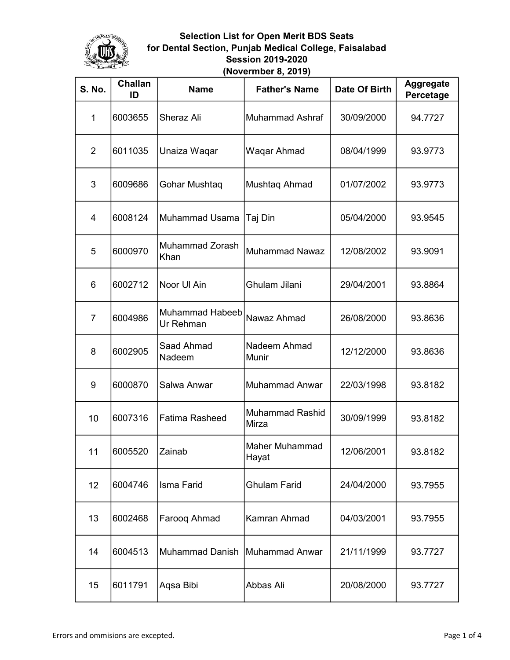

| <b>S. No.</b>  | Challan<br>ID | <b>Name</b>                         | <b>Father's Name</b>     | Date Of Birth | <b>Aggregate</b><br>Percetage |
|----------------|---------------|-------------------------------------|--------------------------|---------------|-------------------------------|
| 1              | 6003655       | Sheraz Ali                          | Muhammad Ashraf          | 30/09/2000    | 94.7727                       |
| $\overline{2}$ | 6011035       | Unaiza Waqar                        | Waqar Ahmad              | 08/04/1999    | 93.9773                       |
| 3              | 6009686       | Gohar Mushtaq                       | Mushtaq Ahmad            | 01/07/2002    | 93.9773                       |
| 4              | 6008124       | Muhammad Usama                      | Taj Din                  | 05/04/2000    | 93.9545                       |
| 5              | 6000970       | Muhammad Zorash<br>Khan             | <b>Muhammad Nawaz</b>    | 12/08/2002    | 93.9091                       |
| 6              | 6002712       | Noor UI Ain                         | Ghulam Jilani            | 29/04/2001    | 93.8864                       |
| $\overline{7}$ | 6004986       | <b>Muhammad Habeeb</b><br>Ur Rehman | İNawaz Ahmad             | 26/08/2000    | 93.8636                       |
| 8              | 6002905       | Saad Ahmad<br>Nadeem                | Nadeem Ahmad<br>Munir    | 12/12/2000    | 93.8636                       |
| 9              | 6000870       | Salwa Anwar                         | Muhammad Anwar           | 22/03/1998    | 93.8182                       |
| 10             | 6007316       | Fatima Rasheed                      | Muhammad Rashid<br>Mirza | 30/09/1999    | 93.8182                       |
| 11             | 6005520       | Zainab                              | Maher Muhammad<br>Hayat  | 12/06/2001    | 93.8182                       |
| 12             | 6004746       | Isma Farid                          | <b>Ghulam Farid</b>      | 24/04/2000    | 93.7955                       |
| 13             | 6002468       | Farooq Ahmad                        | Kamran Ahmad             | 04/03/2001    | 93.7955                       |
| 14             | 6004513       | <b>Muhammad Danish</b>              | Muhammad Anwar           | 21/11/1999    | 93.7727                       |
| 15             | 6011791       | Aqsa Bibi                           | Abbas Ali                | 20/08/2000    | 93.7727                       |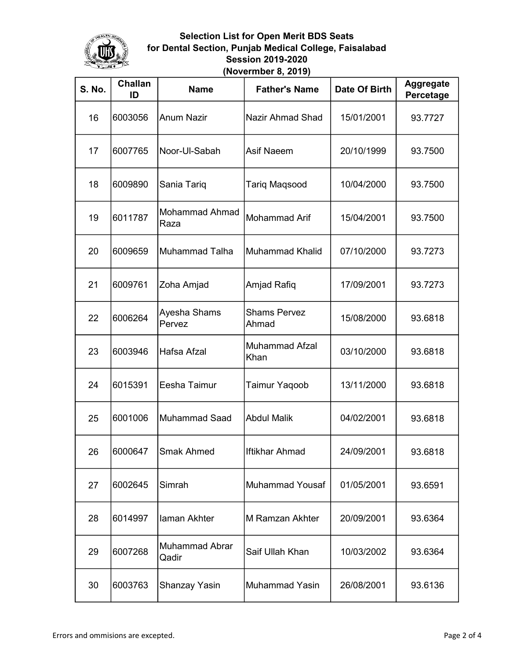

| <b>S. No.</b> | Challan<br>ID | <b>Name</b>                    | <b>Father's Name</b>         | Date Of Birth | <b>Aggregate</b><br>Percetage |
|---------------|---------------|--------------------------------|------------------------------|---------------|-------------------------------|
| 16            | 6003056       | <b>Anum Nazir</b>              | Nazir Ahmad Shad             | 15/01/2001    | 93.7727                       |
| 17            | 6007765       | Noor-Ul-Sabah                  | Asif Naeem                   | 20/10/1999    | 93.7500                       |
| 18            | 6009890       | Sania Tariq                    | <b>Tariq Maqsood</b>         | 10/04/2000    | 93.7500                       |
| 19            | 6011787       | <b>Mohammad Ahmad</b><br>Raza  | <b>Mohammad Arif</b>         | 15/04/2001    | 93.7500                       |
| 20            | 6009659       | <b>Muhammad Talha</b>          | Muhammad Khalid              | 07/10/2000    | 93.7273                       |
| 21            | 6009761       | Zoha Amjad                     | Amjad Rafiq                  | 17/09/2001    | 93.7273                       |
| 22            | 6006264       | Ayesha Shams<br>Pervez         | <b>Shams Pervez</b><br>Ahmad | 15/08/2000    | 93.6818                       |
| 23            | 6003946       | Hafsa Afzal                    | Muhammad Afzal<br>Khan       | 03/10/2000    | 93.6818                       |
| 24            | 6015391       | Eesha Taimur                   | <b>Taimur Yaqoob</b>         | 13/11/2000    | 93.6818                       |
| 25            | 6001006       | <b>Muhammad Saad</b>           | <b>Abdul Malik</b>           | 04/02/2001    | 93.6818                       |
| 26            | 6000647       | <b>Smak Ahmed</b>              | Ilftikhar Ahmad              | 24/09/2001    | 93.6818                       |
| 27            | 6002645       | Simrah                         | <b>Muhammad Yousaf</b>       | 01/05/2001    | 93.6591                       |
| 28            | 6014997       | laman Akhter                   | M Ramzan Akhter              | 20/09/2001    | 93.6364                       |
| 29            | 6007268       | <b>Muhammad Abrar</b><br>Qadir | Saif Ullah Khan              | 10/03/2002    | 93.6364                       |
| 30            | 6003763       | Shanzay Yasin                  | Muhammad Yasin               | 26/08/2001    | 93.6136                       |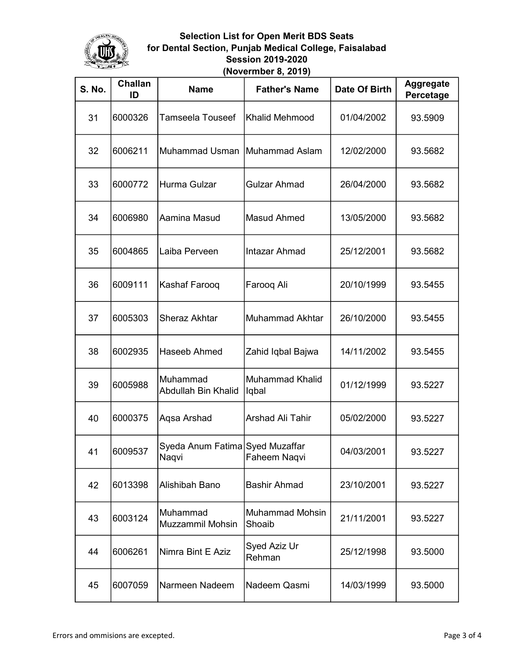

| <b>S. No.</b> | Challan<br>ID | <b>Name</b>                              | <b>Father's Name</b>      | Date Of Birth | <b>Aggregate</b><br>Percetage |
|---------------|---------------|------------------------------------------|---------------------------|---------------|-------------------------------|
| 31            | 6000326       | Tamseela Touseef                         | <b>Khalid Mehmood</b>     | 01/04/2002    | 93.5909                       |
| 32            | 6006211       | <b>Muhammad Usman</b>                    | Muhammad Aslam            | 12/02/2000    | 93.5682                       |
| 33            | 6000772       | Hurma Gulzar                             | <b>Gulzar Ahmad</b>       | 26/04/2000    | 93.5682                       |
| 34            | 6006980       | Aamina Masud                             | <b>Masud Ahmed</b>        | 13/05/2000    | 93.5682                       |
| 35            | 6004865       | Laiba Perveen                            | Intazar Ahmad             | 25/12/2001    | 93.5682                       |
| 36            | 6009111       | Kashaf Farooq                            | Faroog Ali                | 20/10/1999    | 93.5455                       |
| 37            | 6005303       | <b>Sheraz Akhtar</b>                     | Muhammad Akhtar           | 26/10/2000    | 93.5455                       |
| 38            | 6002935       | Haseeb Ahmed                             | Zahid Iqbal Bajwa         | 14/11/2002    | 93.5455                       |
| 39            | 6005988       | Muhammad<br>Abdullah Bin Khalid          | Muhammad Khalid<br>lqbal  | 01/12/1999    | 93.5227                       |
| 40            | 6000375       | Aqsa Arshad                              | <b>Arshad Ali Tahir</b>   | 05/02/2000    | 93.5227                       |
| 41            | 6009537       | Syeda Anum Fatima Syed Muzaffar<br>Naqvi | Faheem Naqvi              | 04/03/2001    | 93.5227                       |
| 42            | 6013398       | Alishibah Bano                           | <b>Bashir Ahmad</b>       | 23/10/2001    | 93.5227                       |
| 43            | 6003124       | Muhammad<br><b>Muzzammil Mohsin</b>      | Muhammad Mohsin<br>Shoaib | 21/11/2001    | 93.5227                       |
| 44            | 6006261       | Nimra Bint E Aziz                        | Syed Aziz Ur<br>Rehman    | 25/12/1998    | 93.5000                       |
| 45            | 6007059       | Narmeen Nadeem                           | Nadeem Qasmi              | 14/03/1999    | 93.5000                       |